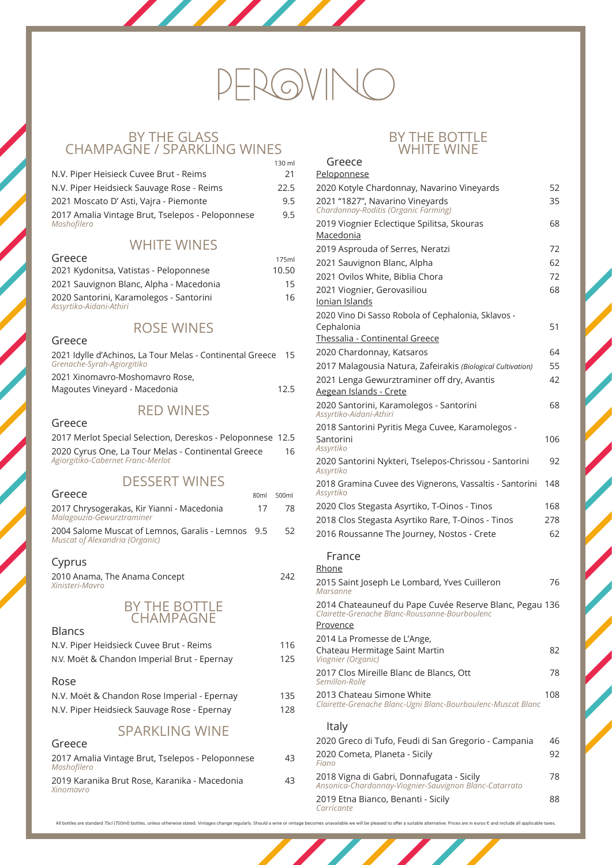## BY THE GLASS CHAMPAGNE / SPARKLING WINES<br>130 ml

|                                                                 | 1. JU 1111 |
|-----------------------------------------------------------------|------------|
| N.V. Piper Heisieck Cuvee Brut - Reims                          | 21         |
| N.V. Piper Heidsieck Sauvage Rose - Reims                       | 22.5       |
| 2021 Moscato D'Asti, Vajra - Piemonte                           | 9.5        |
| 2017 Amalia Vintage Brut, Tselepos - Peloponnese<br>Moshofilero | 9.5        |
|                                                                 |            |

## WHITE WINES

| Greece                                                             | 175ml |
|--------------------------------------------------------------------|-------|
| 2021 Kydonitsa, Vatistas - Peloponnese                             | 10.50 |
| 2021 Sauvignon Blanc, Alpha - Macedonia                            | 15    |
| 2020 Santorini, Karamolegos - Santorini<br>Assyrtiko-Aidani-Athiri | 16    |

## ROSE WINES

| Greece                                                                                  |      |
|-----------------------------------------------------------------------------------------|------|
| 2021 Idylle d'Achinos, La Tour Melas - Continental Greece<br>Grenache-Syrah-Agiorgitiko | -15  |
| 2021 Xinomavro-Moshomavro Rose,                                                         |      |
| Magoutes Vineyard - Macedonia                                                           | 12.5 |

### BY THE B WHITE WINE

## RED WINES

#### Greece

| 2017 Merlot Special Selection, Dereskos - Peloponnese 12.5                              |    |
|-----------------------------------------------------------------------------------------|----|
| 2020 Cyrus One, La Tour Melas - Continental Greece<br>Agiorgitiko-Cabernet Franc-Merlot | 16 |

## DESSERT WINES

| 80 <sub>ml</sub> | 500ml                                              |
|------------------|----------------------------------------------------|
| 1/               | 78.                                                |
|                  | 52                                                 |
|                  |                                                    |
|                  | 2004 Salome Muscat of Lemnos, Garalis - Lemnos 9.5 |

2010 Anama, The Anama Concept 242 *Xinisteri-Mavro*



#### Blancs

N.V. Piper Heidsieck Cuvee Brut - Reims 116

N.V. Moët & Chandon Imperial Brut - Epernay 125

#### Rose

N.V. Moët & Chandon Rose Imperial - Epernay 135 N.V. Piper Heidsieck Sauvage Rose - Epernay 128

## SPARKLING WINE

#### Greece

2017 Amalia Vintage Brut, Tselepos - Peloponnese 43 *Moshofilero*

2019 Karanika Brut Rose, Karanika - Macedonia 43 *Xinomavro*

# $-$ ROVI

Greece

| Peloponnese                                                                                               |     |
|-----------------------------------------------------------------------------------------------------------|-----|
| 2020 Kotyle Chardonnay, Navarino Vineyards                                                                | 52  |
| 2021 "1827", Navarino Vineyards<br>Chardonnay-Roditis (Organic Farming)                                   | 35  |
| 2019 Viognier Eclectique Spilitsa, Skouras<br>Macedonia                                                   | 68  |
| 2019 Asprouda of Serres, Neratzi                                                                          | 72  |
| 2021 Sauvignon Blanc, Alpha                                                                               | 62  |
| 2021 Ovilos White, Biblia Chora                                                                           | 72  |
| 2021 Viognier, Gerovasiliou                                                                               | 68  |
| <b>Ionian Islands</b>                                                                                     |     |
| 2020 Vino Di Sasso Robola of Cephalonia, Sklavos -                                                        |     |
| Cephalonia                                                                                                | 51  |
| Thessalia - Continental Greece                                                                            |     |
| 2020 Chardonnay, Katsaros                                                                                 | 64  |
| 2017 Malagousia Natura, Zafeirakis (Biological Cultivation)                                               | 55  |
| 2021 Lenga Gewurztraminer off dry, Avantis                                                                | 42  |
| Aegean Islands - Crete                                                                                    |     |
| 2020 Santorini, Karamolegos - Santorini<br>Assyrtiko-Aidani-Athiri                                        | 68  |
| 2018 Santorini Pyritis Mega Cuvee, Karamolegos -                                                          |     |
| Santorini<br>Assyrtiko                                                                                    | 106 |
| 2020 Santorini Nykteri, Tselepos-Chrissou - Santorini<br>Assyrtiko                                        | 92  |
| 2018 Gramina Cuvee des Vignerons, Vassaltis - Santorini<br>Assyrtiko                                      | 148 |
| 2020 Clos Stegasta Asyrtiko, T-Oinos - Tinos                                                              | 168 |
| 2018 Clos Stegasta Asyrtiko Rare, T-Oinos - Tinos                                                         | 278 |
| 2016 Roussanne The Journey, Nostos - Crete                                                                | 62  |
| France                                                                                                    |     |
| Rhone                                                                                                     |     |
| 2015 Saint Joseph Le Lombard, Yves Cuilleron<br>Marsanne                                                  | 76  |
| 2014 Chateauneuf du Pape Cuvée Reserve Blanc, Pegau 136<br>Clairette-Grenache Blanc-Roussanne-Bourboulenc |     |
| <u>Provence</u>                                                                                           |     |
| 2014 La Promesse de L'Ange,                                                                               |     |

Chateau Hermitage Saint Martin 82 *Viognier (Organic)*  2017 Clos Mireille Blanc de Blancs, Ott 78 *Semillon-Rolle* 2013 Chateau Simone White 108 *Clairette-Grenache Blanc-Ugni Blanc-Bourboulenc-Muscat Blanc* Italy 2020 Greco di Tufo, Feudi di San Gregorio - Campania 46 2020 Cometa, Planeta - Sicily 92 *Fiano* 2018 Vigna di Gabri, Donnafugata - Sicily 78 *Ansonica-Chardonnay-Viognier-Sauvignon Blanc-Catarrato* 2019 Etna Bianco, Benanti - Sicily 88 *Carricante*

and the state of the state of the state of the state of the state of the state of the state of the state of the

All bottles are standard 75cl (750ml) bottles, unless otherwise stated. Vintages change regularly. Should a wine or vintage becomes unavailable we will be pleased to offer a suitable alternative. Prices are in euros € and